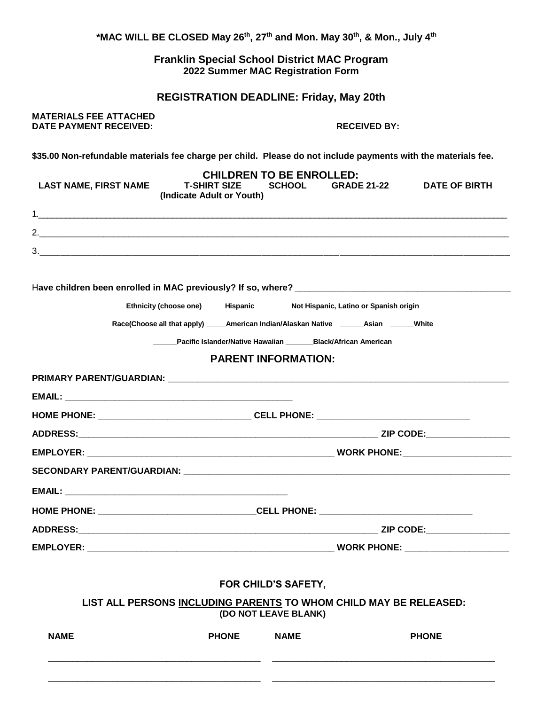| <b>NAME</b>                                                                                                   | LIST ALL PERSONS INCLUDING PARENTS TO WHOM CHILD MAY BE RELEASED:<br><b>PHONE</b>              | (DO NOT LEAVE BLANK)<br><b>NAME</b> |                     | <b>PHONE</b>         |  |
|---------------------------------------------------------------------------------------------------------------|------------------------------------------------------------------------------------------------|-------------------------------------|---------------------|----------------------|--|
|                                                                                                               |                                                                                                | FOR CHILD'S SAFETY,                 |                     |                      |  |
|                                                                                                               |                                                                                                |                                     |                     |                      |  |
|                                                                                                               |                                                                                                |                                     |                     |                      |  |
|                                                                                                               |                                                                                                |                                     |                     |                      |  |
|                                                                                                               |                                                                                                |                                     |                     |                      |  |
|                                                                                                               |                                                                                                |                                     |                     |                      |  |
|                                                                                                               |                                                                                                |                                     |                     |                      |  |
|                                                                                                               |                                                                                                |                                     |                     |                      |  |
|                                                                                                               | HOME PHONE: ___________________________________CELL PHONE: ______________________              |                                     |                     |                      |  |
|                                                                                                               |                                                                                                |                                     |                     |                      |  |
|                                                                                                               |                                                                                                |                                     |                     |                      |  |
|                                                                                                               |                                                                                                | <b>PARENT INFORMATION:</b>          |                     |                      |  |
|                                                                                                               | Pacific Islander/Native Hawaiian _______Black/African American                                 |                                     |                     |                      |  |
|                                                                                                               | Race(Choose all that apply) ______ American Indian/Alaskan Native ________ Asian _______ White |                                     |                     |                      |  |
|                                                                                                               | Ethnicity (choose one) _____ Hispanic _______ Not Hispanic, Latino or Spanish origin           |                                     |                     |                      |  |
|                                                                                                               |                                                                                                |                                     |                     |                      |  |
|                                                                                                               |                                                                                                |                                     |                     |                      |  |
|                                                                                                               |                                                                                                |                                     |                     |                      |  |
|                                                                                                               |                                                                                                |                                     |                     |                      |  |
| <b>LAST NAME, FIRST NAME</b>                                                                                  | T-SHIRT SIZE SCHOOL<br>(Indicate Adult or Youth)                                               | <b>CHILDREN TO BE ENROLLED:</b>     | <b>GRADE 21-22</b>  | <b>DATE OF BIRTH</b> |  |
| \$35.00 Non-refundable materials fee charge per child. Please do not include payments with the materials fee. |                                                                                                |                                     |                     |                      |  |
| <b>MATERIALS FEE ATTACHED</b><br><b>DATE PAYMENT RECEIVED:</b>                                                |                                                                                                |                                     | <b>RECEIVED BY:</b> |                      |  |
|                                                                                                               | <b>REGISTRATION DEADLINE: Friday, May 20th</b>                                                 |                                     |                     |                      |  |
|                                                                                                               |                                                                                                | 2022 Summer MAC Registration Form   |                     |                      |  |
|                                                                                                               | <b>Franklin Special School District MAC Program</b>                                            |                                     |                     |                      |  |

\_\_\_\_\_\_\_\_\_\_\_\_\_\_\_\_\_\_\_\_\_\_\_\_\_\_\_\_\_\_\_\_\_\_\_\_\_\_\_\_\_\_\_ \_\_\_\_\_\_\_\_\_\_\_\_\_\_\_\_\_\_\_\_\_\_\_\_\_\_\_\_\_\_\_\_\_\_\_\_\_\_\_\_\_\_\_\_\_

\*MAC WILL BE CLOSED May 26<sup>th</sup>, 27<sup>th</sup> and Mon. May 30<sup>th</sup>, & Mon., July 4<sup>th</sup>